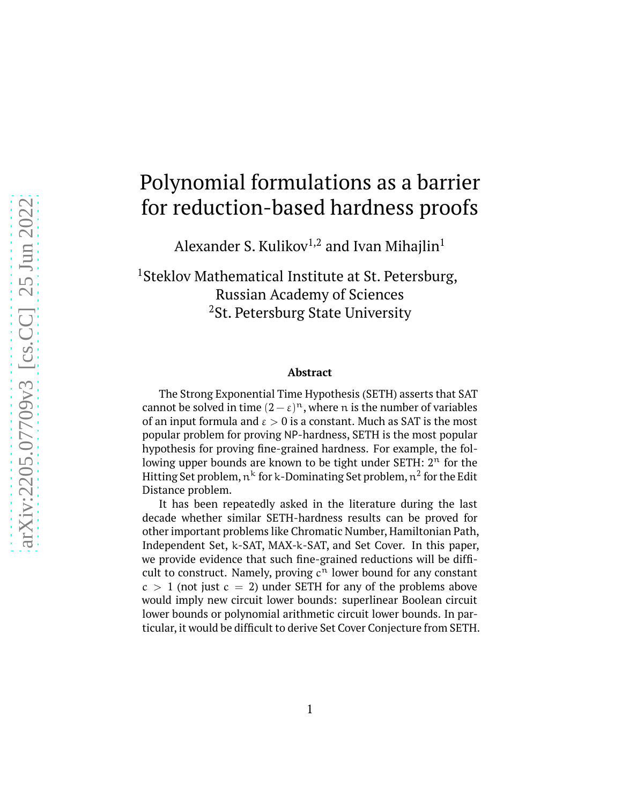# Polynomial formulations as a barrier for reduction-based hardness proofs

Alexander S. Kulikov<sup>1,2</sup> and Ivan Mihajlin<sup>1</sup>

<sup>1</sup>Steklov Mathematical Institute at St. Petersburg, Russian Academy of Sciences <sup>2</sup>St. Petersburg State University

#### **Abstract**

The Strong Exponential Time Hypothesis (SETH) asserts that SAT cannot be solved in time  $(2 - \varepsilon)^n$ , where n is the number of variables of an input formula and  $\varepsilon > 0$  is a constant. Much as SAT is the most popular problem for proving NP-hardness, SETH is the most popular hypothesis for proving fine-grained hardness. For example, the following upper bounds are known to be tight under SETH:  $2<sup>n</sup>$  for the Hitting Set problem,  $\mathfrak{n}^{\text{k}}$  for k-Dominating Set problem,  $\mathfrak{n}^2$  for the Edit Distance problem.

It has been repeatedly asked in the literature during the last decade whether similar SETH-hardness results can be proved for other important problems like Chromatic Number, Hamiltonian Path, Independent Set, k-SAT, MAX-k-SAT, and Set Cover. In this paper, we provide evidence that such fine-grained reductions will be difficult to construct. Namely, proving  $c^n$  lower bound for any constant  $c > 1$  (not just  $c = 2$ ) under SETH for any of the problems above would imply new circuit lower bounds: superlinear Boolean circuit lower bounds or polynomial arithmetic circuit lower bounds. In particular, it would be difficult to derive Set Cover Conjecture from SETH.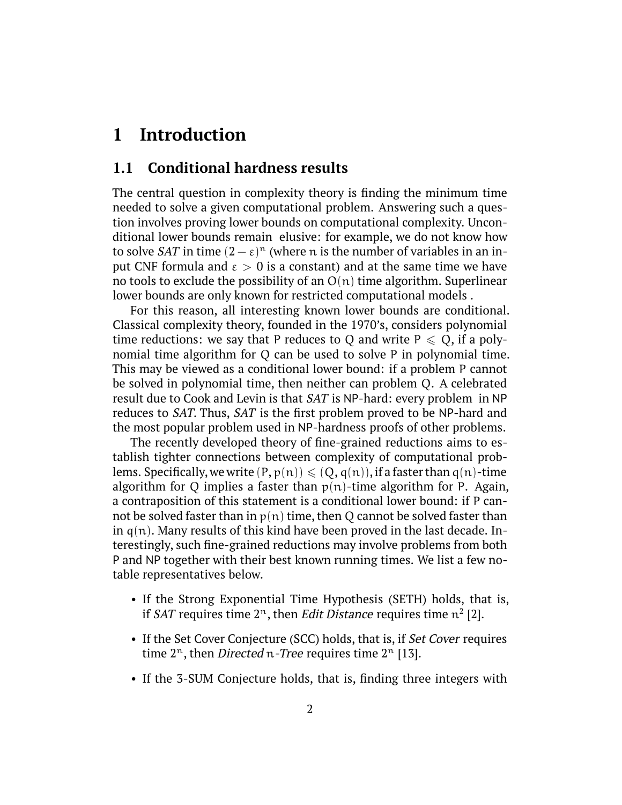# **1 Introduction**

#### **1.1 Conditional hardness results**

The central question in complexity theory is finding the minimum time needed to solve a given computational problem. Answering such a question involves proving lower bounds on computational complexity. Unconditional lower bounds remain elusive: for example, we do not know how to solve *SAT* in time  $(2 - \varepsilon)^n$  (where n is the number of variables in an input CNF formula and  $\varepsilon > 0$  is a constant) and at the same time we have no tools to exclude the possibility of an  $O(n)$  time algorithm. Superlinear lower bounds are only known for restricted computational models .

For this reason, all interesting known lower bounds are conditional. Classical complexity theory, founded in the 1970's, considers polynomial time reductions: we say that P reduces to Q and write  $P \le Q$ , if a polynomial time algorithm for Q can be used to solve P in polynomial time. This may be viewed as a conditional lower bound: if a problem P cannot be solved in polynomial time, then neither can problem Q. A celebrated result due to Cook and Levin is that SAT is NP-hard: every problem in NP reduces to SAT. Thus, SAT is the first problem proved to be NP-hard and the most popular problem used in NP-hardness proofs of other problems.

The recently developed theory of fine-grained reductions aims to establish tighter connections between complexity of computational problems. Specifically, we write  $(P, p(n)) \leq (Q, q(n))$ , if a faster than  $q(n)$ -time algorithm for Q implies a faster than  $p(n)$ -time algorithm for P. Again, a contraposition of this statement is a conditional lower bound: if P cannot be solved faster than in  $p(n)$  time, then Q cannot be solved faster than in  $q(n)$ . Many results of this kind have been proved in the last decade. Interestingly, such fine-grained reductions may involve problems from both P and NP together with their best known running times. We list a few notable representatives below.

- If the Strong Exponential Time Hypothesis (SETH) holds, that is, if SAT requires time 2<sup>n</sup>, then *Edit Distance* requires time  $n^2$  [2].
- If the Set Cover Conjecture (SCC) holds, that is, if Set Cover requires time  $2^n$ , then *Directed* n-*Tree* requires time  $2^n$  [13].
- If the 3-SUM Conjecture holds, that is, finding three integers with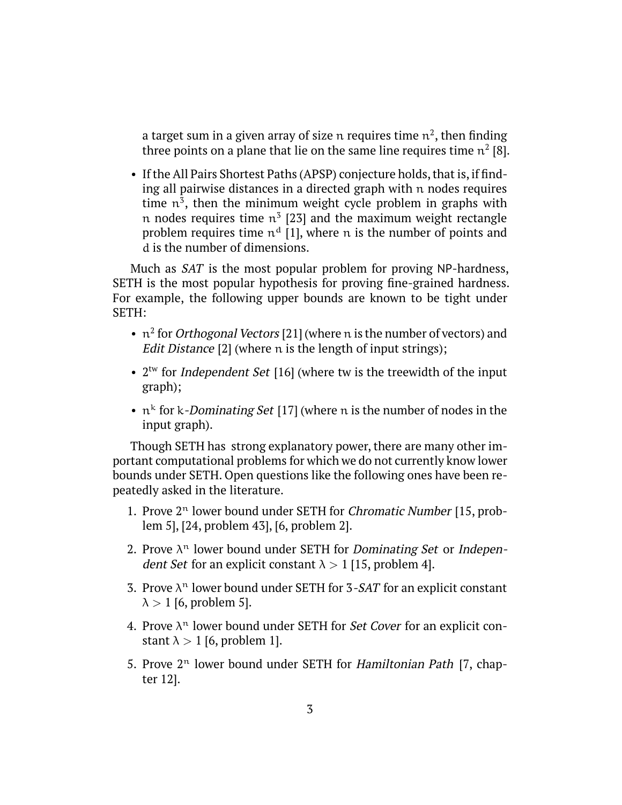a target sum in a given array of size  $\mathfrak n$  requires time  $\mathfrak n^2$ , then finding three points on a plane that lie on the same line requires time  $n^2$  [8].

• If the All Pairs Shortest Paths (APSP) conjecture holds, that is, if finding all pairwise distances in a directed graph with n nodes requires time  $n^3$ , then the minimum weight cycle problem in graphs with n nodes requires time  $\mathfrak{n}^3$  [23] and the maximum weight rectangle problem requires time  $n^d$  [1], where n is the number of points and d is the number of dimensions.

Much as SAT is the most popular problem for proving NP-hardness, SETH is the most popular hypothesis for proving fine-grained hardness. For example, the following upper bounds are known to be tight under SETH:

- $n^2$  for *Orthogonal Vectors* [21] (where n is the number of vectors) and Edit Distance [2] (where n is the length of input strings);
- $2<sup>tw</sup>$  for *Independent Set* [16] (where tw is the treewidth of the input graph);
- $n^k$  for k-*Dominating Set* [17] (where n is the number of nodes in the input graph).

Though SETH has strong explanatory power, there are many other important computational problems for which we do not currently know lower bounds under SETH. Open questions like the following ones have been repeatedly asked in the literature.

- 1. Prove  $2<sup>n</sup>$  lower bound under SETH for *Chromatic Number* [15, problem 5], [24, problem 43], [6, problem 2].
- 2. Prove  $\lambda^n$  lower bound under SETH for *Dominating Set* or *Independent Set* for an explicit constant  $\lambda > 1$  [15, problem 4].
- 3. Prove  $\lambda^n$  lower bound under SETH for 3-SAT for an explicit constant  $\lambda > 1$  [6, problem 5].
- 4. Prove  $\lambda^n$  lower bound under SETH for *Set Cover* for an explicit constant  $\lambda > 1$  [6, problem 1].
- 5. Prove  $2<sup>n</sup>$  lower bound under SETH for *Hamiltonian Path* [7, chapter 12].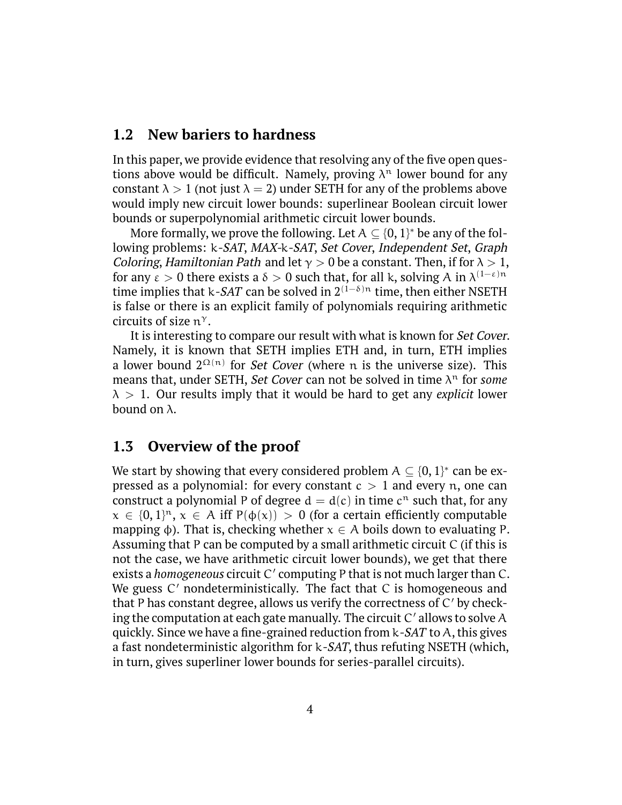#### **1.2 New bariers to hardness**

In this paper, we provide evidence that resolving any of the five open questions above would be difficult. Namely, proving  $\lambda^n$  lower bound for any constant  $\lambda > 1$  (not just  $\lambda = 2$ ) under SETH for any of the problems above would imply new circuit lower bounds: superlinear Boolean circuit lower bounds or superpolynomial arithmetic circuit lower bounds.

More formally, we prove the following. Let  $A\subseteq \{0,1\}^*$  be any of the following problems: k-SAT, MAX-k-SAT, Set Cover, Independent Set, Graph *Coloring, Hamiltonian Path and let*  $\gamma > 0$  be a constant. Then, if for  $\lambda > 1$ , for any  $\varepsilon > 0$  there exists a  $\delta > 0$  such that, for all k, solving A in  $\lambda^{(1-\varepsilon)n}$ time implies that k-*SAT* can be solved in  $2^{(1-\delta)n}$  time, then either NSETH is false or there is an explicit family of polynomials requiring arithmetic circuits of size  $n^{\gamma}$ .

It is interesting to compare our result with what is known for *Set Cover*. Namely, it is known that SETH implies ETH and, in turn, ETH implies a lower bound  $2^{\Omega(n)}$  for *Set Cover* (where n is the universe size). This means that, under SETH, *Set Cover* can not be solved in time  $\lambda^n$  for *some*  $\lambda > 1$ . Our results imply that it would be hard to get any *explicit* lower bound on  $λ$ .

#### **1.3 Overview of the proof**

We start by showing that every considered problem  $A \subseteq \{0,1\}^*$  can be expressed as a polynomial: for every constant  $c > 1$  and every n, one can construct a polynomial P of degree  $d = d(c)$  in time  $c^n$  such that, for any  $x \in \{0,1\}^n$ ,  $x \in A$  iff  $P(\phi(x)) > 0$  (for a certain efficiently computable mapping  $\phi$ ). That is, checking whether  $x \in A$  boils down to evaluating P. Assuming that P can be computed by a small arithmetic circuit C (if this is not the case, we have arithmetic circuit lower bounds), we get that there exists a *homogeneous* circuit C ′ computing P that is not much larger than C. We guess C' nondeterministically. The fact that C is homogeneous and that P has constant degree, allows us verify the correctness of  $C'$  by checking the computation at each gate manually. The circuit C ′ allows to solve A quickly. Since we have a fine-grained reduction from  $k$ -SAT to A, this gives a fast nondeterministic algorithm for k-SAT, thus refuting NSETH (which, in turn, gives superliner lower bounds for series-parallel circuits).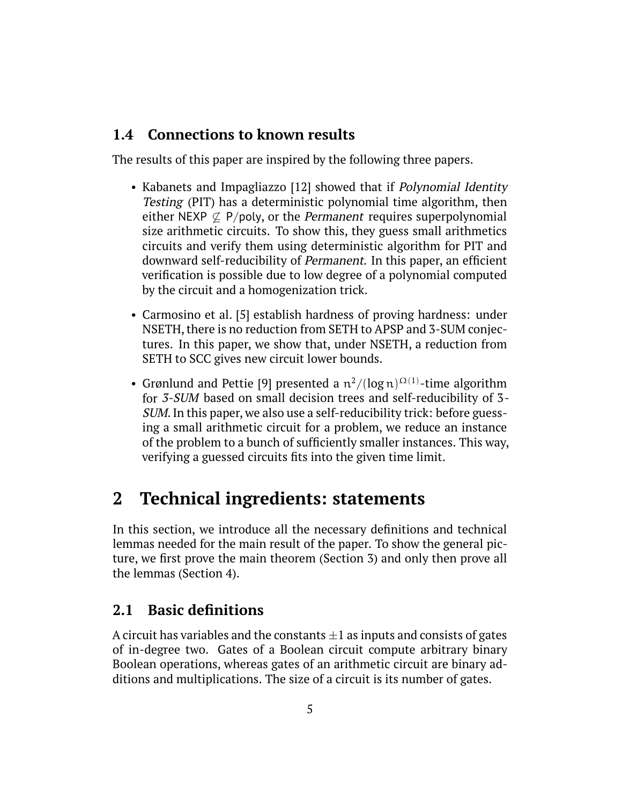### **1.4 Connections to known results**

The results of this paper are inspired by the following three papers.

- Kabanets and Impagliazzo [12] showed that if *Polynomial Identity* Testing (PIT) has a deterministic polynomial time algorithm, then either NEXP  $\&$  P/poly, or the *Permanent* requires superpolynomial size arithmetic circuits. To show this, they guess small arithmetics circuits and verify them using deterministic algorithm for PIT and downward self-reducibility of Permanent. In this paper, an efficient verification is possible due to low degree of a polynomial computed by the circuit and a homogenization trick.
- Carmosino et al. [5] establish hardness of proving hardness: under NSETH, there is no reduction from SETH to APSP and 3-SUM conjectures. In this paper, we show that, under NSETH, a reduction from SETH to SCC gives new circuit lower bounds.
- Grønlund and Pettie [9] presented a  $\frac{\pi^2}{(\log n)^{\Omega(1)}}$ -time algorithm for 3-SUM based on small decision trees and self-reducibility of 3- SUM. In this paper, we also use a self-reducibility trick: before guessing a small arithmetic circuit for a problem, we reduce an instance of the problem to a bunch of sufficiently smaller instances. This way, verifying a guessed circuits fits into the given time limit.

# **2 Technical ingredients: statements**

In this section, we introduce all the necessary definitions and technical lemmas needed for the main result of the paper. To show the general picture, we first prove the main theorem (Section [3\)](#page-8-0) and only then prove all the lemmas (Section [4\)](#page-10-0).

### **2.1 Basic definitions**

A circuit has variables and the constants  $\pm 1$  as inputs and consists of gates of in-degree two. Gates of a Boolean circuit compute arbitrary binary Boolean operations, whereas gates of an arithmetic circuit are binary additions and multiplications. The size of a circuit is its number of gates.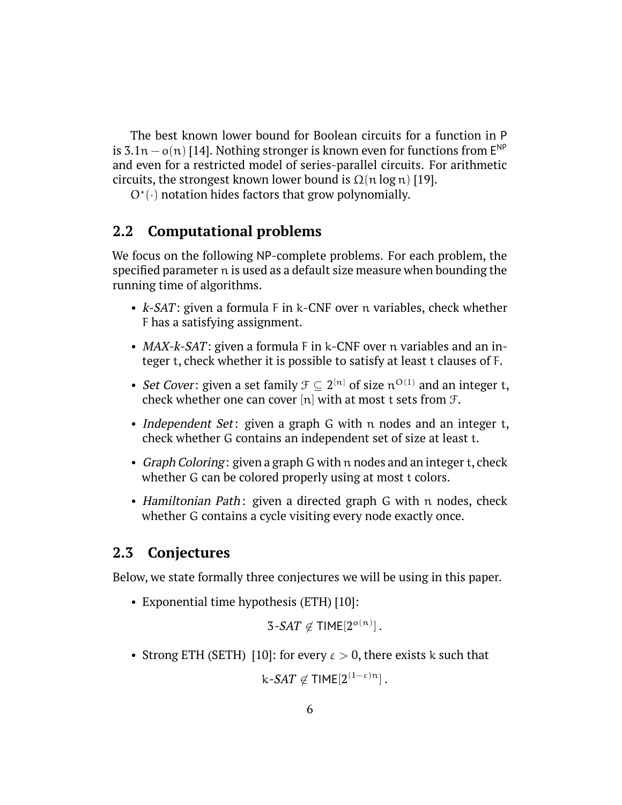The best known lower bound for Boolean circuits for a function in P is 3.1n –  $o(n)$  [\[14\]](#page-19-0). Nothing stronger is known even for functions from  $E^{NP}$ and even for a restricted model of series-parallel circuits. For arithmetic circuits, the strongest known lower bound is  $\Omega(n \log n)$  [\[19\]](#page-20-0).

O<sup>\*</sup>(·) notation hides factors that grow polynomially.

### <span id="page-5-0"></span>**2.2 Computational problems**

We focus on the following NP-complete problems. For each problem, the specified parameter n is used as a default size measure when bounding the running time of algorithms.

- *k-SAT*: given a formula F in k-CNF over n variables, check whether F has a satisfying assignment.
- MAX-k-SAT: given a formula F in k-CNF over n variables and an integer t, check whether it is possible to satisfy at least t clauses of F.
- *Set Cover*: given a set family  $\mathcal{F} \subseteq 2^{[n]}$  of size  $n^{O(1)}$  and an integer t, check whether one can cover [n] with at most t sets from  $\mathcal{F}$ .
- Independent Set: given a graph G with n nodes and an integer t, check whether G contains an independent set of size at least t.
- Graph Coloring: given a graph G with n nodes and an integer t, check whether G can be colored properly using at most t colors.
- Hamiltonian Path: given a directed graph G with n nodes, check whether G contains a cycle visiting every node exactly once.

#### **2.3 Conjectures**

Below, we state formally three conjectures we will be using in this paper.

• Exponential time hypothesis (ETH) [10]:

 $3$ *-SAT*  $\not\in$  TIME[ $2^{\text{o}(n)}$ ].

• Strong ETH (SETH) [10]: for every  $\varepsilon > 0$ , there exists k such that

 $\mathrm{k}\text{-}\mathit{SAT} \not\in \mathsf{TIME}[2^{(1-\varepsilon)\mathrm{n}}]$  .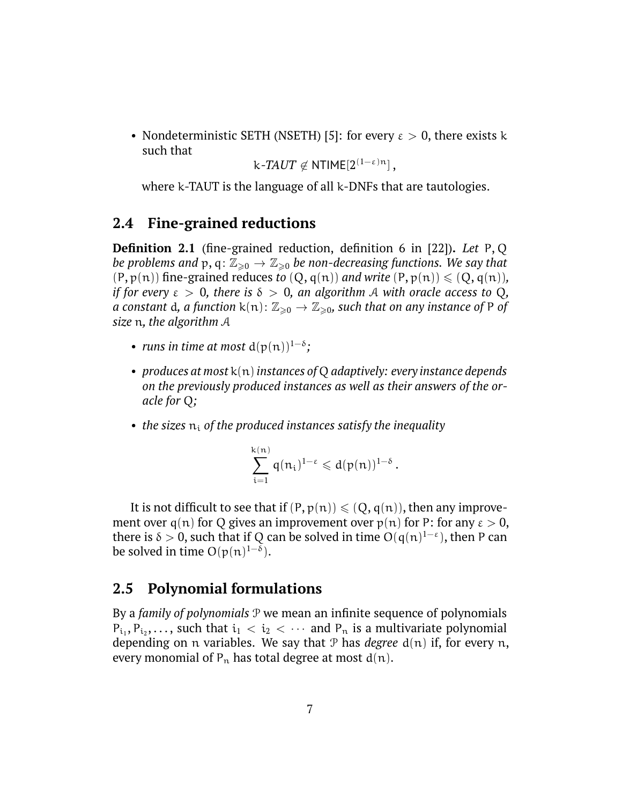• Nondeterministic SETH (NSETH) [5]: for every  $\varepsilon > 0$ , there exists k such that

k*-TAUT*  $\not\in$  <code>NTIME[2 $^{(1-\varepsilon)n}]$ </sup>,</code>

where k-TAUT is the language of all k-DNFs that are tautologies.

#### **2.4 Fine-grained reductions**

<span id="page-6-0"></span>**Definition 2.1** (fine-grained reduction, definition 6 in [22])**.** *Let* P, Q *be problems and*  $p, q: \mathbb{Z}_{\geq 0} \to \mathbb{Z}_{\geq 0}$  *be non-decreasing functions. We say that*  $(P, p(n))$  fine-grained reduces *to*  $(Q, q(n))$  *and write*  $(P, p(n)) \leq (Q, q(n))$ *, if for every*  $\varepsilon > 0$ , there is  $\delta > 0$ , an algorithm A with oracle access to Q, *a* constant d, a function  $k(n)$ :  $\mathbb{Z}_{\geq 0} \to \mathbb{Z}_{\geq 0}$ , such that on any instance of P of *size* n*, the algorithm* A

- *runs in time at most*  $d(p(n))^{1-\delta}$ ;
- *produces at most* k(n)*instances of* Q *adaptively: every instance depends on the previously produced instances as well as their answers of the oracle for* Q*;*
- *the sizes*  $n_i$  *of the produced instances satisfy the inequality*

$$
\sum_{i=1}^{k(n)}\mathfrak{q}(n_i)^{1-\epsilon}\leqslant d(\mathfrak{p}(n))^{1-\delta}\,.
$$

It is not difficult to see that if  $(P, p(n)) \leq (Q, q(n))$ , then any improvement over q(n) for Q gives an improvement over  $p(n)$  for P: for any  $\varepsilon > 0$ , there is  $\delta > 0$ , such that if Q can be solved in time  $O(q(n)^{1-\epsilon})$ , then P can be solved in time  $O(p(n)^{1-\delta})$ .

#### **2.5 Polynomial formulations**

By a *family of polynomials* P we mean an infinite sequence of polynomials  $P_{i_1}, P_{i_2}, \ldots$ , such that  $i_1 < i_2 < \cdots$  and  $P_n$  is a multivariate polynomial depending on n variables. We say that P has *degree* d(n) if, for every n, every monomial of  $P_n$  has total degree at most  $d(n)$ .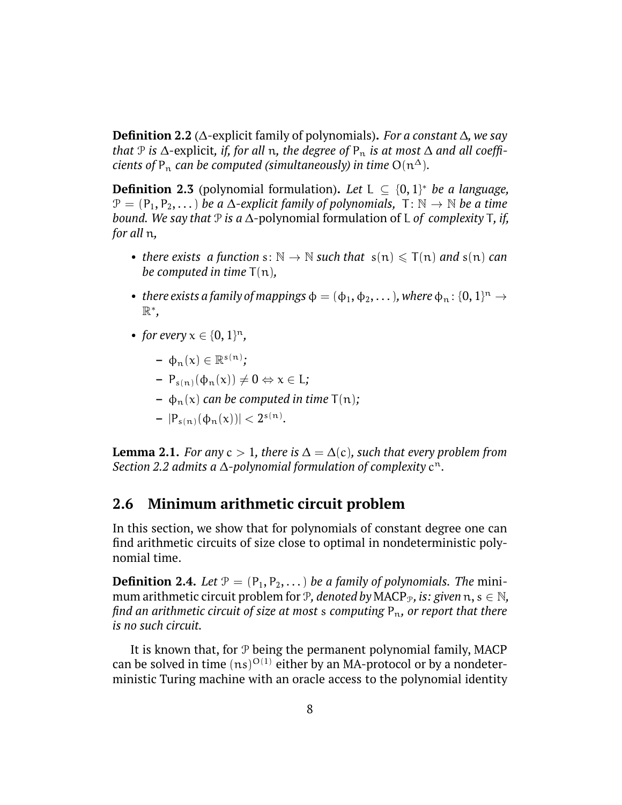<span id="page-7-1"></span>**Definition 2.2** (∆-explicit family of polynomials)**.** *For a constant* ∆*, we say that*  $\mathcal P$  *is*  $\Delta$ -explicit, *if, for all* n, the degree of  $P_n$  *is at most*  $\Delta$  *and all coefficients of*  $P_n$  *can be computed (simultaneously) in time*  $O(n^{\Delta})$ *.* 

**Definition 2.3** (polynomial formulation). Let  $L \subseteq \{0, 1\}^*$  be a language,  $\mathcal{P} = (P_1, P_2, \dots)$  *be a*  $\Delta$ -explicit family of polynomials,  $T: \mathbb{N} \to \mathbb{N}$  *be a time bound. We say that* P *is a* ∆-polynomial formulation of L *of complexity* T*, if, for all* n*,*

- *there exists a function*  $s: \mathbb{N} \to \mathbb{N}$  *such that*  $s(n) \leq T(n)$  *and*  $s(n)$  *can be computed in time* T(n)*,*
- there exists a family of mappings  $\phi = (\phi_1, \phi_2, \dots)$ , where  $\phi_n : \{0, 1\}^n \to$ R ∗ *,*
- *for every*  $x \in \{0, 1\}^n$ ,
	- $\phi_n(x) \in \mathbb{R}^{s(n)}$ ;
	- $-P_{s(n)}(\phi_n(x)) \neq 0 \Leftrightarrow x \in L$ ;
	- $-\phi_n(x)$  *can be computed in time*  $T(n)$ *;*
	- $-|P_{s(n)}(\phi_n(x))| < 2^{s(n)}$ .

<span id="page-7-0"></span>**Lemma 2.1.** *For any*  $c > 1$ *, there is*  $\Delta = \Delta(c)$ *, such that every problem from Section [2.2](#page-5-0) admits a* ∆*-polynomial formulation of complexity* c n*.*

#### **2.6 Minimum arithmetic circuit problem**

In this section, we show that for polynomials of constant degree one can find arithmetic circuits of size close to optimal in nondeterministic polynomial time.

**Definition 2.4.** *Let*  $P = (P_1, P_2, ...)$  *be a family of polynomials. The mini*mum arithmetic circuit problem for  $P$ *, denoted by* MACP<sub>*P*</sub>, *is: given*  $n, s \in \mathbb{N}$ *, find an arithmetic circuit of size at most s computing*  $P_n$ *, or report that there is no such circuit.*

It is known that, for  $P$  being the permanent polynomial family, MACP can be solved in time  $(ns)^{O(1)}$  either by an MA-protocol or by a nondeterministic Turing machine with an oracle access to the polynomial identity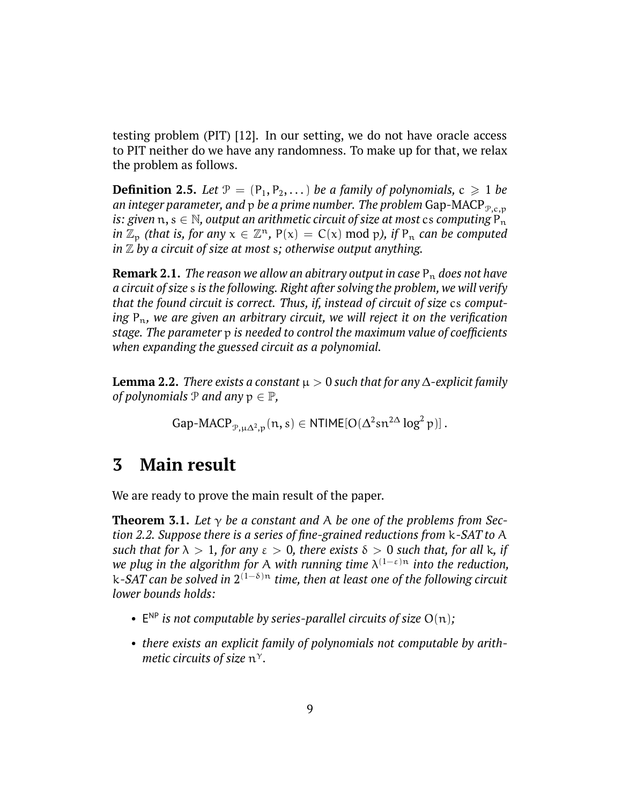testing problem (PIT) [12]. In our setting, we do not have oracle access to PIT neither do we have any randomness. To make up for that, we relax the problem as follows.

**Definition 2.5.** Let  $P = (P_1, P_2, \dots)$  be a family of polynomials,  $c \ge 1$  be *an integer parameter, and*  $p$  *be a prime number. The problem* Gap-MACP<sub> $p.c.p$ </sub> *is: given*  $n, s \in \mathbb{N}$ , output an arithmetic circuit of size at most cs computing  $P_n$ *in*  $\mathbb{Z}_p$  *(that is, for any*  $x \in \mathbb{Z}^n$ ,  $P(x) = C(x) \text{ mod } p$ *), if*  $P_n$  *can be computed in* Z *by a circuit of size at most* s*; otherwise output anything.*

**Remark 2.1.** *The reason we allow an abitrary output in case*  $P_n$  *does not have a circuit of size* s *is the following. Right after solving the problem, we will verify that the found circuit is correct. Thus, if, instead of circuit of size* cs *comput*ing P<sub>n</sub>, we are given an arbitrary circuit, we will reject it on the verification *stage. The parameter* p *is needed to control the maximum value of coefficients when expanding the guessed circuit as a polynomial.*

<span id="page-8-1"></span>**Lemma 2.2.** *There exists a constant*  $\mu > 0$  *such that for any*  $\Delta$ -explicit family *of polynomials*  $P$  *and any*  $p \in P$ *,* 

$$
Gap\text{-}MACP_{\mathcal{P},\mu\Delta^2,p}(n,s) \in NTIME[O(\Delta^2 sn^{2\Delta} \log^2 p)].
$$

### <span id="page-8-0"></span>**3 Main result**

We are ready to prove the main result of the paper.

<span id="page-8-2"></span>**Theorem 3.1.** Let  $\gamma$  be a constant and A be one of the problems from Sec*tion [2.2.](#page-5-0) Suppose there is a series of fine-grained reductions from* k-SAT *to* A *such that for*  $\lambda > 1$ *, for any*  $\varepsilon > 0$ *, there exists*  $\delta > 0$  *such that, for all k, if we plug in the algorithm for* A *with running time* λ (1−ε)<sup>n</sup> *into the reduction,* k-SAT *can be solved in* 2 (1−δ)<sup>n</sup> *time, then at least one of the following circuit lower bounds holds:*

- $E^{NP}$  *is not computable by series-parallel circuits of size*  $O(n)$ *;*
- *there exists an explicit family of polynomials not computable by arithmetic circuits of size* n γ*.*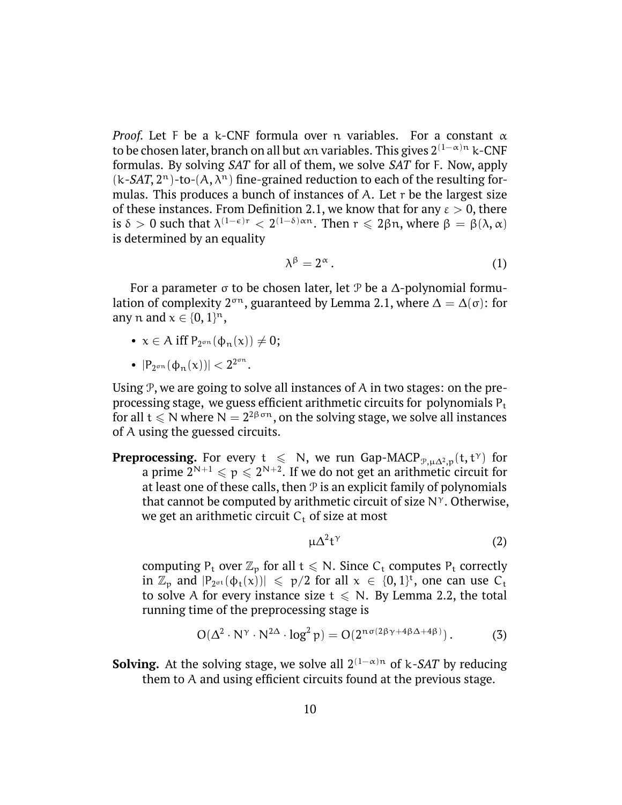*Proof.* Let F be a k-CNF formula over n variables. For a constant  $\alpha$ to be chosen later, branch on all but αn variables. This gives  $2^{(1-\alpha)n}$  k-CNF formulas. By solving SAT for all of them, we solve SAT for F. Now, apply  $(k-SAT, 2<sup>n</sup>)$ -to- $(A, \lambda<sup>n</sup>)$  fine-grained reduction to each of the resulting formulas. This produces a bunch of instances of A. Let  $r$  be the largest size of these instances. From Definition [2.1,](#page-6-0) we know that for any  $\varepsilon > 0$ , there is  $\delta > 0$  such that  $\lambda^{(1-\epsilon)r} < 2^{(1-\delta)\alpha n}$ . Then  $r \leq 2\beta n$ , where  $\beta = \beta(\lambda, \alpha)$ is determined by an equality

<span id="page-9-2"></span>
$$
\lambda^{\beta} = 2^{\alpha} \,. \tag{1}
$$

For a parameter  $\sigma$  to be chosen later, let P be a  $\Delta$ -polynomial formulation of complexity  $2^{\sigma n}$ , guaranteed by Lemma [2.1,](#page-7-0) where  $\Delta = \Delta(\sigma)$ : for any n and  $x \in \{0, 1\}^n$ ,

- $x \in A$  iff  $P_{2^{\sigma n}}(\phi_n(x)) \neq 0;$
- $|P_{2^{\sigma n}}(\phi_n(x))| < 2^{2^{\sigma n}}.$

Using  $P$ , we are going to solve all instances of  $A$  in two stages: on the preprocessing stage, we guess efficient arithmetic circuits for polynomials  $P_t$ for all  $t \leqslant N$  where  $N = 2^{2\beta\,\sigma n},$  on the solving stage, we solve all instances of A using the guessed circuits.

**Preprocessing.** For every  $t \le N$ , we run Gap-MACP<sub>P, $\mu\Delta^2$ , $p(t, t^{\gamma})$  for</sub> a prime  $2^{N+1} \leqslant p \leqslant 2^{N+2}.$  If we do not get an arithmetic circuit for at least one of these calls, then  $P$  is an explicit family of polynomials that cannot be computed by arithmetic circuit of size  $N^{\gamma}$ . Otherwise, we get an arithmetic circuit  $C_t$  of size at most

<span id="page-9-1"></span><span id="page-9-0"></span>
$$
\mu \Delta^2 t^{\gamma} \tag{2}
$$

computing  $P_t$  over  $\mathbb{Z}_p$  for all  $t \le N$ . Since  $C_t$  computes  $P_t$  correctly in  $\mathbb{Z}_p$  and  $|P_{2^{\sigma t}}(\varphi_t(x))| \leq p/2$  for all  $x \in \{0,1\}^t$ , one can use  $C_t$ to solve A for every instance size  $t \le N$ . By Lemma [2.2,](#page-8-1) the total running time of the preprocessing stage is

$$
O(\Delta^2 \cdot N^{\gamma} \cdot N^{2\Delta} \cdot \log^2 p) = O(2^{n\sigma(2\beta\gamma + 4\beta\Delta + 4\beta)})
$$
 (3)

**Solving.** At the solving stage, we solve all  $2^{(1-\alpha)n}$  of k-*SAT* by reducing them to A and using efficient circuits found at the previous stage.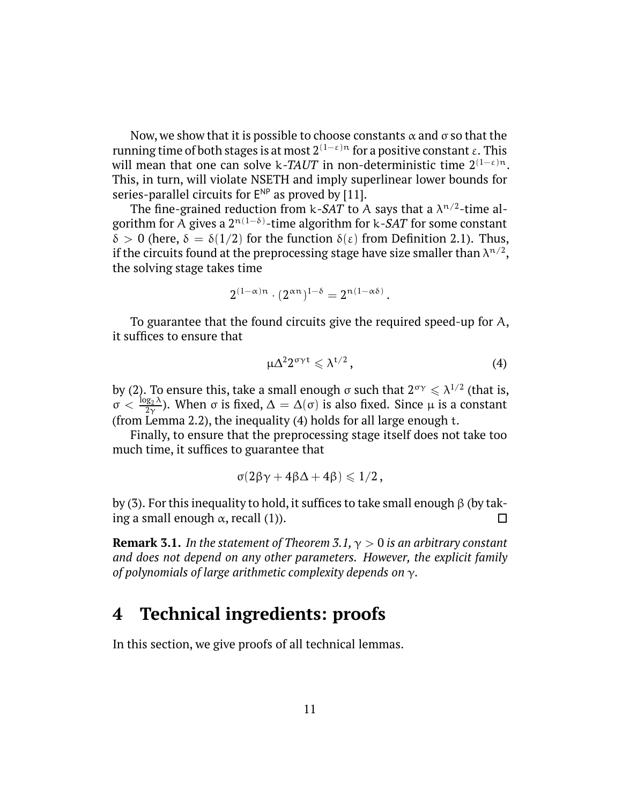Now, we show that it is possible to choose constants  $\alpha$  and  $\sigma$  so that the running time of both stages is at most  $2^{(1-\epsilon)n}$  for a positive constant ε. This will mean that one can solve k-TAUT in non-deterministic time  $2^{(1-\epsilon)n}$ . This, in turn, will violate NSETH and imply superlinear lower bounds for series-parallel circuits for  $E^{NP}$  as proved by [11].

The fine-grained reduction from k*-SAT* to A says that a  $\lambda^{n/2}$ -time algorithm for A gives a  $2^{n(1-\delta)}$ -time algorithm for k*-SAT* for some constant δ > 0 (here, δ = δ(1/2) for the function  $\delta(\varepsilon)$  from Definition [2.1\)](#page-6-0). Thus, if the circuits found at the preprocessing stage have size smaller than  $\lambda^{\mathfrak{n}/2},$ the solving stage takes time

$$
2^{(1-\alpha)n}\cdot (2^{\alpha n})^{1-\delta}=2^{n(1-\alpha\delta)}\,.
$$

To guarantee that the found circuits give the required speed-up for A, it suffices to ensure that

<span id="page-10-1"></span>
$$
\mu \Delta^2 2^{\sigma \gamma t} \leqslant \lambda^{t/2} \,, \tag{4}
$$

by [\(2\)](#page-9-0). To ensure this, take a small enough  $\sigma$  such that  $2^{\sigma\gamma}\leqslant\lambda^{1/2}$  (that is,  $\sigma < \frac{\log_2 \lambda}{2\gamma}$ ). When σ is fixed,  $\Delta = \Delta(\sigma)$  is also fixed. Since μ is a constant (from Lemma [2.2\)](#page-8-1), the inequality [\(4\)](#page-10-1) holds for all large enough t.

Finally, to ensure that the preprocessing stage itself does not take too much time, it suffices to guarantee that

$$
\sigma(2\beta\gamma+4\beta\Delta+4\beta)\leqslant 1/2\,,
$$

by [\(3\)](#page-9-1). For this inequality to hold, it suffices to take small enough β (by taking a small enough  $\alpha$ , recall [\(1\)](#page-9-2)). □

**Remark 3.1.** *In the statement of Theorem [3.1,](#page-8-2)* γ > 0 *is an arbitrary constant and does not depend on any other parameters. However, the explicit family of polynomials of large arithmetic complexity depends on* γ*.*

### <span id="page-10-0"></span>**4 Technical ingredients: proofs**

In this section, we give proofs of all technical lemmas.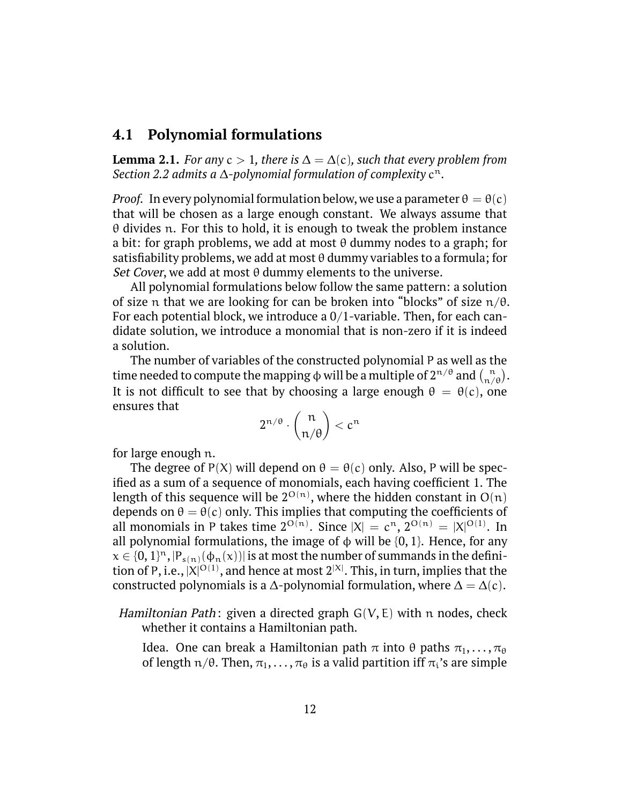#### **4.1 Polynomial formulations**

**Lemma 2.1.** *For any*  $c > 1$ *, there is*  $\Delta = \Delta(c)$ *, such that every problem from Section [2.2](#page-5-0) admits a* ∆*-polynomial formulation of complexity* c n*.*

*Proof.* In every polynomial formulation below, we use a parameter  $\theta = \theta(c)$ that will be chosen as a large enough constant. We always assume that  $\theta$  divides n. For this to hold, it is enough to tweak the problem instance a bit: for graph problems, we add at most  $\theta$  dummy nodes to a graph; for satisfiability problems, we add at most  $\theta$  dummy variables to a formula; for Set Cover, we add at most  $\theta$  dummy elements to the universe.

All polynomial formulations below follow the same pattern: a solution of size n that we are looking for can be broken into "blocks" of size  $n/\theta$ . For each potential block, we introduce a 0/1-variable. Then, for each candidate solution, we introduce a monomial that is non-zero if it is indeed a solution.

The number of variables of the constructed polynomial P as well as the time needed to compute the mapping  $\phi$  will be a multiple of  $2^{n/\theta}$  and  $\binom{n}{n/\theta}$ . It is not difficult to see that by choosing a large enough  $\theta = \theta(c)$ , one ensures that

$$
2^{n/\theta} \cdot \binom{n}{n/\theta} < c^n
$$

for large enough n.

The degree of P(X) will depend on  $\theta = \theta(c)$  only. Also, P will be specified as a sum of a sequence of monomials, each having coefficient 1. The length of this sequence will be  $2^{O(n)}$ , where the hidden constant in  $O(n)$ depends on  $\theta = \theta(c)$  only. This implies that computing the coefficients of all monomials in P takes time  $2^{O(n)}$ . Since  $|X| = c^n$ ,  $2^{O(n)} = |X|^{O(1)}$ . In all polynomial formulations, the image of  $\phi$  will be {0, 1}. Hence, for any  $x \in \{0,1\}^n$  ,  $|P_{s(n)}(\phi_n(x))|$  is at most the number of summands in the definition of P, i.e.,  $|X|^{{\rm O}(1)}$ , and hence at most  $2^{|X|}.$  This, in turn, implies that the constructed polynomials is a  $\Delta$ -polynomial formulation, where  $\Delta = \Delta(c)$ .

*Hamiltonian Path*: given a directed graph  $G(V, E)$  with n nodes, check whether it contains a Hamiltonian path.

Idea. One can break a Hamiltonian path  $\pi$  into θ paths  $\pi_1, \ldots, \pi_\theta$ of length  $n/\theta$ . Then,  $\pi_1, \ldots, \pi_\theta$  is a valid partition iff  $\pi_i$ 's are simple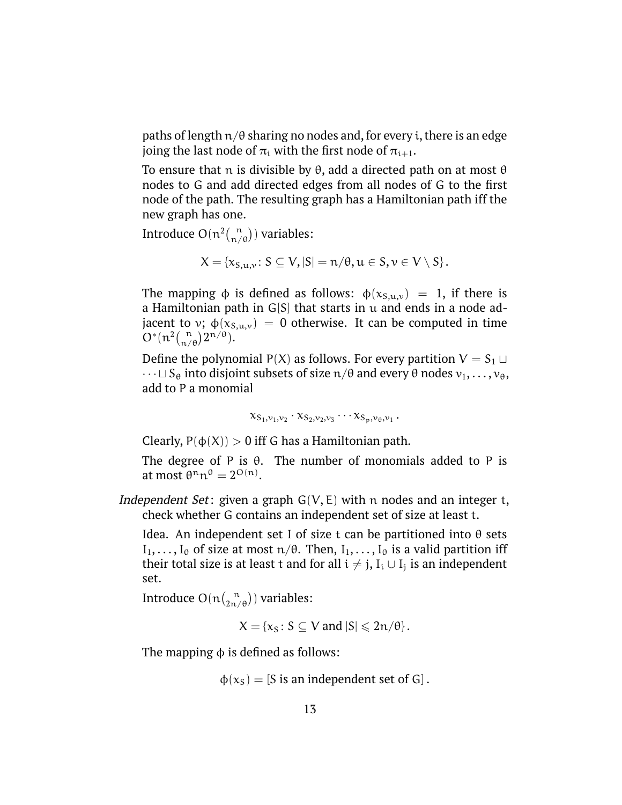paths of length  $n/\theta$  sharing no nodes and, for every i, there is an edge joing the last node of  $\pi_i$  with the first node of  $\pi_{i+1}$ .

To ensure that n is divisible by θ, add a directed path on at most θ nodes to G and add directed edges from all nodes of G to the first node of the path. The resulting graph has a Hamiltonian path iff the new graph has one.

Introduce  $O(n^2 {n \choose n/\theta})$  variables:

$$
X = \{x_{S,u,v}: S \subseteq V, |S| = n/\theta, u \in S, v \in V \setminus S\}.
$$

The mapping  $\phi$  is defined as follows:  $\phi(x_{S,u,v}) = 1$ , if there is a Hamiltonian path in  $G[S]$  that starts in  $u$  and ends in a node adjacent to v;  $\phi(x_{\text{S},u,v}) = 0$  otherwise. It can be computed in time  $O^*(n^2 {n \choose n/\theta} 2^{n/\theta}).$ 

Define the polynomial P(X) as follows. For every partition  $V = S_1 \sqcup$  $\cdots \sqcup S_\theta$  into disjoint subsets of size  $\pi/\theta$  and every  $\theta$  nodes  $v_1, \ldots, v_\theta,$ add to P a monomial

$$
\chi_{S_1,\nu_1,\nu_2}\cdot\chi_{S_2,\nu_2,\nu_3}\cdots\chi_{S_p,\nu_\theta,\nu_1}\,.
$$

Clearly,  $P(\phi(X)) > 0$  iff G has a Hamiltonian path.

The degree of P is  $\theta$ . The number of monomials added to P is at most  $\theta^n n^\theta = 2^{O(n)}$ .

Independent Set: given a graph  $G(V, E)$  with n nodes and an integer t, check whether G contains an independent set of size at least t.

Idea. An independent set I of size t can be partitioned into θ sets  $I_1, \ldots, I_{\theta}$  of size at most  $n/\theta$ . Then,  $I_1, \ldots, I_{\theta}$  is a valid partition iff their total size is at least t and for all  $\mathfrak{i} \neq \mathfrak{j}$ ,  $\mathrm{I}_{\mathfrak{i}} \cup \mathrm{I}_{\mathfrak{j}}$  is an independent set.

Introduce  $O(n\binom{n}{2n/\theta})$  variables:

 $X = \{x_s : S \subseteq V \text{ and } |S| \leq 2n/\theta\}.$ 

The mapping  $\phi$  is defined as follows:

 $\phi(x_S) = [S \text{ is an independent set of } G].$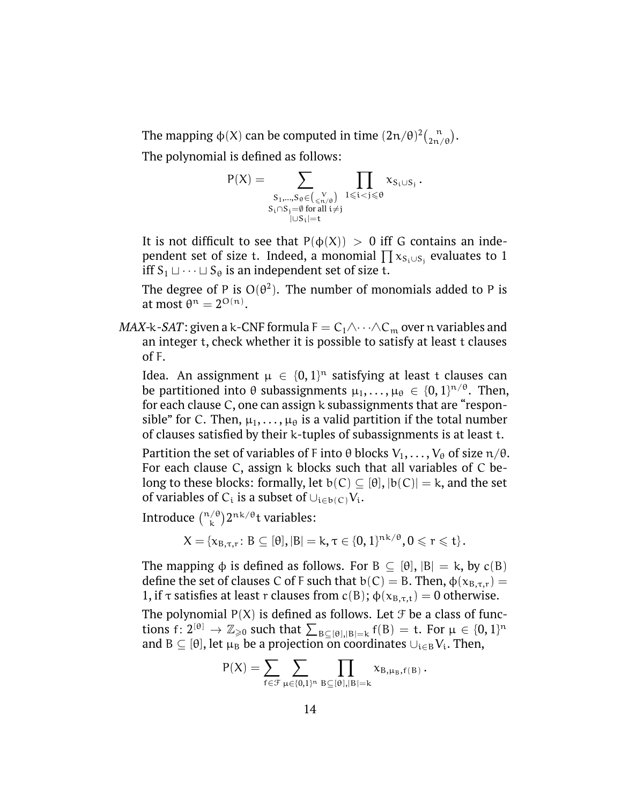The mapping  $\phi(X)$  can be computed in time  $(2n/\theta)^2 {n \choose 2n/\theta}$ .

The polynomial is defined as follows:

$$
P(X) = \sum_{\substack{S_1,\ldots,S_\theta \in \binom{V}{\leqslant n/\theta} \\ S_i \cap S_j = \emptyset \text{ for all } i \neq j}} \prod_{1 \leqslant i < j \leqslant \theta} x_{S_i \cup S_j}.
$$

It is not difficult to see that  $P(\phi(X)) > 0$  iff G contains an independent set of size t. Indeed, a monomial  $\prod {\mathsf x}_{S_i\cup S_j}$  evaluates to  $1$ iff  $S_1 \sqcup \cdots \sqcup S_\theta$  is an independent set of size t.

The degree of P is  $O(\theta^2)$ . The number of monomials added to P is at most  $\theta^n = 2^{O(n)}$ .

*MAX-k-SAT*: given a k-CNF formula  $F = C_1 \wedge \cdots \wedge C_m$  over n variables and an integer t, check whether it is possible to satisfy at least t clauses of F.

Idea. An assignment  $\mu \in \{0,1\}^n$  satisfying at least t clauses can be partitioned into  $\theta$  subassignments  $\mu_1,\ldots,\mu_\theta\,\in\,\{0,1\}^{n/\theta}.$  Then, for each clause C, one can assign k subassignments that are "responsible" for C. Then,  $\mu_1, \ldots, \mu_\theta$  is a valid partition if the total number of clauses satisfied by their k-tuples of subassignments is at least t.

Partition the set of variables of F into  $\theta$  blocks  $V_1, \ldots, V_{\theta}$  of size  $\pi/\theta$ . For each clause C, assign k blocks such that all variables of C belong to these blocks: formally, let  $b(C) \subseteq [\theta]$ ,  $|b(C)| = k$ , and the set of variables of C<sub>i</sub> is a subset of  $\cup_{i\in b(C)}V_i$ .

Introduce  $\binom{n/\theta}{k} 2^{nk/\theta}$ t variables:

$$
X = \{x_{B,\tau,r} \colon B \subseteq [\theta], |B| = k, \tau \in \{0,1\}^{nk/\theta}, 0 \leqslant r \leqslant t\}.
$$

The mapping  $\phi$  is defined as follows. For B  $\subseteq$  [θ],  $|B| = k$ , by  $c(B)$ define the set of clauses C of F such that  $b(C) = B$ . Then,  $\phi(x_{B,\tau,r}) =$ 1, if τ satisfies at least r clauses from  $c(B)$ ;  $\phi(x_{B,\tau,t}) = 0$  otherwise.

The polynomial  $P(X)$  is defined as follows. Let  $\mathcal F$  be a class of functions  $f: 2^{[\theta]} \to \mathbb{Z}_{\geqslant 0}$  such that  $\sum_{B \subseteq [\theta], |B| = k} f(B) = t$ . For  $\mu \in \{0, 1\}^n$ and B  $\subseteq$  [ $\theta$ ], let  $\mu_B$  be a projection on coordinates  $\cup_{i\in B}V_i$ . Then,

$$
P(X) = \sum_{f \in \mathcal{F}} \sum_{\mu \in \{0,1\}^n} \prod_{B \subseteq [\theta], |B| = k} x_{B,\mu_B,f(B)}.
$$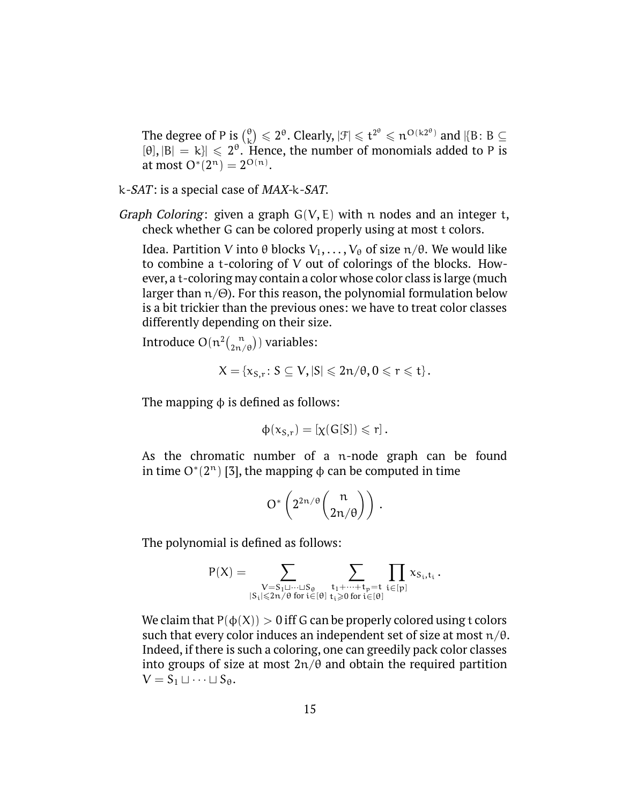The degree of P is  $\binom{0}{k}$  $\binom{\theta}{k} \leqslant 2^{\theta}$ . Clearly,  $|\mathcal{F}| \leqslant t^{2^{\theta}} \leqslant n^{O(k2^{\theta})}$  and  $|\{B\colon B\subseteq S\}|$  $[\theta], |B| = k$ ]  $\leq 2^{\theta}$ . Hence, the number of monomials added to P is at most  $O^*(2^n) = 2^{O(n)}$ .

- k-SAT: is a special case of MAX-k-SAT.
- *Graph Coloring*: given a graph  $G(V, E)$  with n nodes and an integer t, check whether G can be colored properly using at most t colors.

Idea. Partition V into θ blocks  $V_1, \ldots, V_\theta$  of size  $\pi/\theta$ . We would like to combine a t-coloring of V out of colorings of the blocks. However, a t-coloring may contain a color whose color class is large (much larger than  $n/\Theta$ ). For this reason, the polynomial formulation below is a bit trickier than the previous ones: we have to treat color classes differently depending on their size.

Introduce  $O(n^2 {n \choose 2n/\theta})$  variables:

$$
X = \{x_{S,r} \colon S \subseteq V, |S| \leq 2n/\theta, 0 \leq r \leq t\}.
$$

The mapping  $\phi$  is defined as follows:

$$
\varphi(\mathsf{x}_{\mathsf{S},\mathsf{r}})=[\chi(\mathsf{G}[\mathsf{S}])\leqslant \mathsf{r}]\,.
$$

As the chromatic number of a n-node graph can be found in time  $O^*(2^n)$  [3], the mapping  $\phi$  can be computed in time

$$
O^*\left(2^{2n/\theta}\binom{n}{2n/\theta}\right).
$$

The polynomial is defined as follows:

$$
P(X)=\sum_{\substack{V=S_1\sqcup \cdots \sqcup S_\theta \\ |S_i|\leqslant 2n/\theta \text{ for } i\in [\theta]}}\sum_{\substack{t_1+\cdots +t_p=t \\ t_i\geqslant 0 \text{ for } i\in [\theta]}}\prod_{i\in [p]}x_{S_i,t_i}\,.
$$

We claim that  $P(\phi(X)) > 0$  iff G can be properly colored using t colors such that every color induces an independent set of size at most  $n/\theta$ . Indeed, if there is such a coloring, one can greedily pack color classes into groups of size at most  $2n/\theta$  and obtain the required partition  $V = S_1 \sqcup \cdots \sqcup S_{\theta}$ .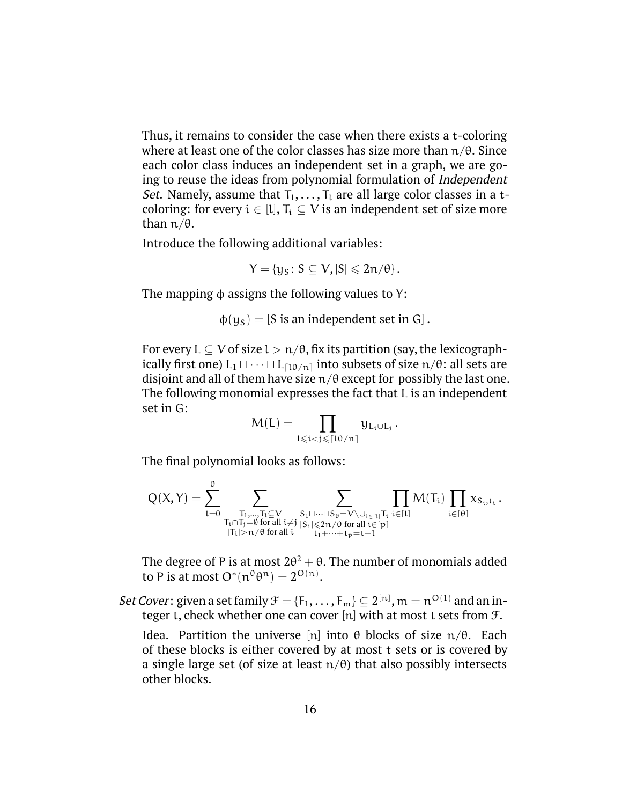Thus, it remains to consider the case when there exists a t-coloring where at least one of the color classes has size more than  $n/\theta$ . Since each color class induces an independent set in a graph, we are going to reuse the ideas from polynomial formulation of Independent *Set.* Namely, assume that  $T_1, \ldots, T_l$  are all large color classes in a tcoloring: for every  $i \in [l], T_i \subseteq V$  is an independent set of size more than  $π/θ$ .

Introduce the following additional variables:

$$
Y=\{y_S\colon S\subseteq V, |S|\leqslant 2n/\theta\}.
$$

The mapping  $\phi$  assigns the following values to Y:

 $\phi(y_S) = [S \text{ is an independent set in } G].$ 

For every  $L \subseteq V$  of size  $l > n/\theta$ , fix its partition (say, the lexicographically first one)  $L_1 \sqcup \cdots \sqcup L_{\lceil \lg n \rceil}$  into subsets of size  $n/\theta$ : all sets are disjoint and all of them have size  $n/\theta$  except for possibly the last one. The following monomial expresses the fact that L is an independent set in G:

$$
M(L)=\prod_{1\leqslant i< j\leqslant \lceil 1\theta/n\rceil} y_{L_i\cup L_j}\,.
$$

The final polynomial looks as follows:

$$
Q(X,Y) = \sum_{l=0}^{\theta} \sum_{\substack{T_1,\ldots,T_l\subseteq V\\ T_i\cap T_j=\emptyset\text{ for all }i\neq j}}\sum_{\substack{S_1\sqcup\cdots\sqcup S_{\theta}=V\setminus\cup_{i\in [l]}T_i\\ |T_i|>n/\theta\text{ for all }i\neq j}}\prod_{\substack{S_i\sqcup\cdots\sqcup S_{\theta}=V\setminus\cup_{i\in [l]}T_i\\ t_1+\cdots+t_p=t-l}}M(T_i)\prod_{i\in [\theta]}x_{S_i,t_i}\,.
$$

The degree of P is at most 2 $\theta^2+\theta.$  The number of monomials added to P is at most  $O^*(n^{\theta}\theta^n)=2^{O(n)}.$ 

Set Cover: given a set family  $\mathfrak{F}=\{\mathsf{F}_1,\ldots,\mathsf{F}_{\mathfrak{m}}\}\subseteq 2^{[{\mathfrak{n}}]},$   ${\mathfrak{m}}={\mathfrak{n}}^{O(1)}$  and an integer t, check whether one can cover  $[n]$  with at most t sets from  $\mathcal{F}$ .

Idea. Partition the universe [n] into θ blocks of size  $\pi/\theta$ . Each of these blocks is either covered by at most t sets or is covered by a single large set (of size at least  $n/\theta$ ) that also possibly intersects other blocks.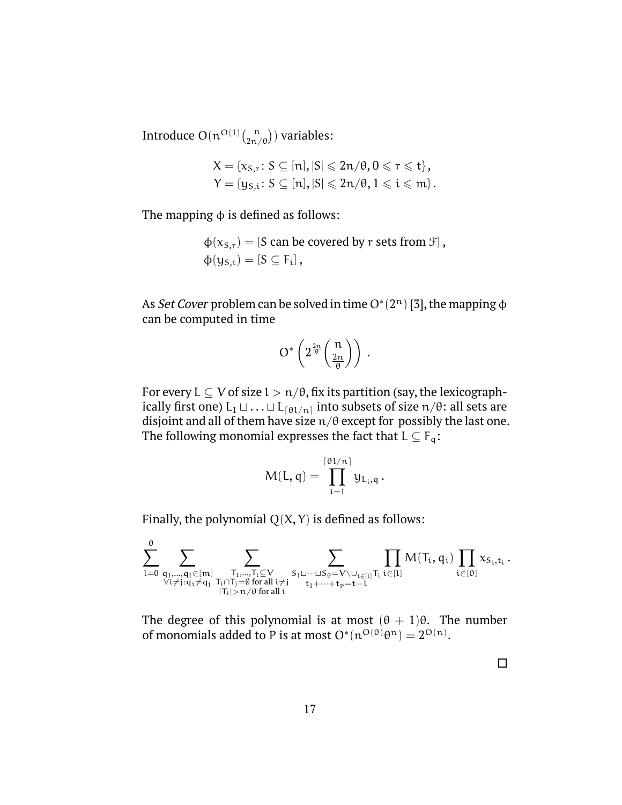Introduce  $O(n^{O(1)}\binom{n}{2n/\theta})$  variables:

$$
X = \{x_{S,r}: S \subseteq [n], |S| \leq 2n/\theta, 0 \leq r \leq t\},\
$$
  

$$
Y = \{y_{S,i}: S \subseteq [n], |S| \leq 2n/\theta, 1 \leq i \leq m\}.
$$

The mapping  $\phi$  is defined as follows:

 $\phi(x_{S,r}) = [S \text{ can be covered by } r \text{ sets from } \mathcal{F}],$  $\phi(y_{S,i}) = [S \subseteq F_i],$ 

As Set Cover problem can be solved in time O\* $(2^n)$  [3], the mapping  $\phi$ can be computed in time

$$
O^*\left(2^{\frac{2n}{\theta}}\binom{n}{\frac{2n}{\theta}}\right).
$$

For every  $L \subseteq V$  of size  $l > n/\theta$ , fix its partition (say, the lexicographically first one)  $L_1 \sqcup ... \sqcup L_{\lceil \theta l/n \rceil}$  into subsets of size  $n/\theta$ : all sets are disjoint and all of them have size  $n/\theta$  except for possibly the last one. The following monomial expresses the fact that  $L \subseteq F_q$ :

$$
M(L,q) = \prod_{i=1}^{\lceil \theta l/n \rceil} y_{L_i,q}.
$$

Finally, the polynomial  $Q(X, Y)$  is defined as follows:

$$
\sum_{l=0}^{\theta} \sum_{\substack{q_1,\ldots,q_l \in [m] \\ \forall i \neq j: q_i \neq q_j}}\sum_{\substack{T_1,\ldots,T_l \subseteq V \\ T_i \mid \mathcal{F}_l \neq \emptyset \text{ for all } i \neq j}}\sum_{\substack{S_1 \sqcup \cdots \sqcup S_\theta = V \setminus \cup_{i \in [l]} T_i \\ t_1 + \cdots + t_p = t-1}}\prod_{i \in [l]} M(T_i,q_i) \prod_{i \in [\theta]} x_{S_i,t_i}\,.
$$

The degree of this polynomial is at most  $(\theta + 1)\theta$ . The number of monomials added to P is at most  $O^*(n^{O(\theta)}\theta^n) = 2^{O(n)}$ .

 $\Box$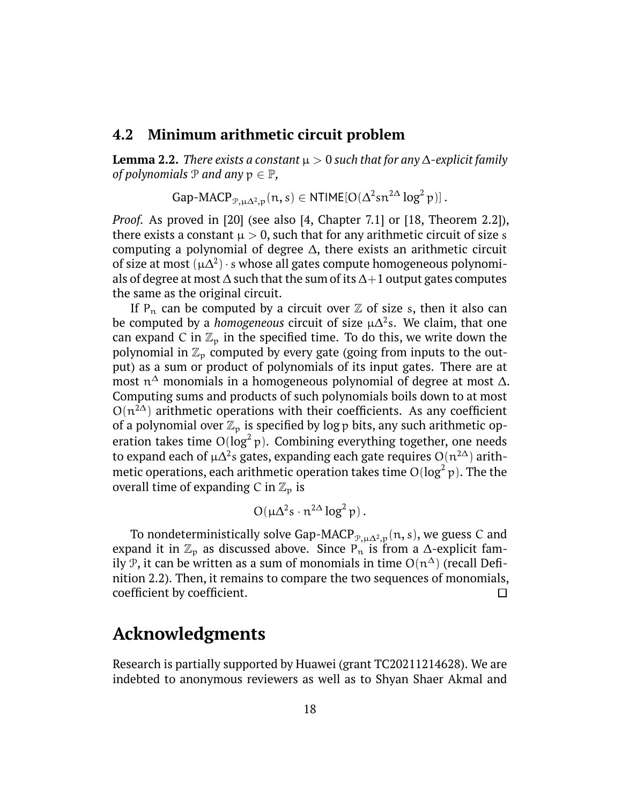#### **4.2 Minimum arithmetic circuit problem**

**Lemma 2.2.** *There exists a constant*  $\mu > 0$  *such that for any*  $\Delta$ -explicit family *of polynomials*  $P$  *and any*  $p \in P$ ,

$$
\text{Gap-MACP}_{\mathcal{P}, \mu \Delta^2, p}(n, s) \in \text{NTIME}[O(\Delta^2 sn^{2\Delta} \log^2 p)].
$$

*Proof.* As proved in [\[20\]](#page-20-1) (see also [4, Chapter 7.1] or [18, Theorem 2.2]), there exists a constant  $\mu > 0$ , such that for any arithmetic circuit of size s computing a polynomial of degree ∆, there exists an arithmetic circuit of size at most  $(\mu \Delta^2) \cdot s$  whose all gates compute homogeneous polynomials of degree at most  $\Delta$  such that the sum of its  $\Delta+1$  output gates computes the same as the original circuit.

If  $P_n$  can be computed by a circuit over  $\mathbb Z$  of size s, then it also can be computed by a *homogeneous* circuit of size  $\mu\Delta^2$ s. We claim, that one can expand C in  $\mathbb{Z}_p$  in the specified time. To do this, we write down the polynomial in  $\mathbb{Z}_p$  computed by every gate (going from inputs to the output) as a sum or product of polynomials of its input gates. There are at most  $\mathfrak{n}^\Delta$  monomials in a homogeneous polynomial of degree at most  $\Delta$ . Computing sums and products of such polynomials boils down to at most  $O(n^{2\Delta})$  arithmetic operations with their coefficients. As any coefficient of a polynomial over  $\mathbb{Z}_p$  is specified by log p bits, any such arithmetic operation takes time  $O(log^2 p)$ . Combining everything together, one needs to expand each of µ $\Delta^2$ s gates, expanding each gate requires O $(n^{2\Delta})$  arithmetic operations, each arithmetic operation takes time  $O(\log^2 p).$  The the overall time of expanding C in  $\mathbb{Z}_p$  is

$$
O(\mu \Delta^2 s \cdot n^{2\Delta} \log^2 p).
$$

To nondeterministically solve Gap-MACP<sub> $\mathcal{P},\mu\Delta^2,p}(\mathfrak{n},s)$ , we guess C and</sub> expand it in  $\mathbb{Z}_p$  as discussed above. Since P<sub>n</sub> is from a ∆-explicit family P, it can be written as a sum of monomials in time  $O(n^{\Delta})$  (recall Definition [2.2\)](#page-7-1). Then, it remains to compare the two sequences of monomials, coefficient by coefficient.  $\Box$ 

# **Acknowledgments**

Research is partially supported by Huawei (grant TC20211214628). We are indebted to anonymous reviewers as well as to Shyan Shaer Akmal and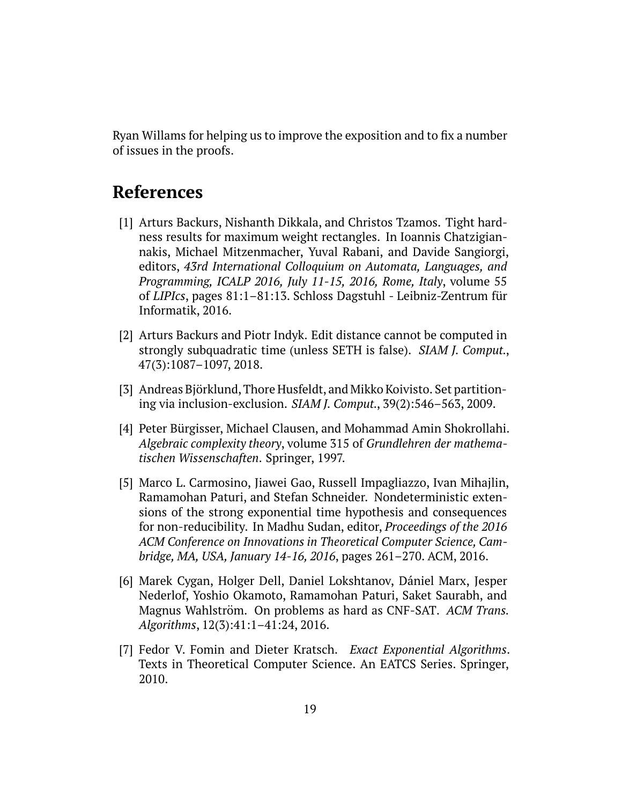Ryan Willams for helping us to improve the exposition and to fix a number of issues in the proofs.

# **References**

- [1] Arturs Backurs, Nishanth Dikkala, and Christos Tzamos. Tight hardness results for maximum weight rectangles. In Ioannis Chatzigiannakis, Michael Mitzenmacher, Yuval Rabani, and Davide Sangiorgi, editors, *43rd International Colloquium on Automata, Languages, and Programming, ICALP 2016, July 11-15, 2016, Rome, Italy*, volume 55 of *LIPIcs*, pages 81:1–81:13. Schloss Dagstuhl - Leibniz-Zentrum für Informatik, 2016.
- [2] Arturs Backurs and Piotr Indyk. Edit distance cannot be computed in strongly subquadratic time (unless SETH is false). *SIAM J. Comput.*, 47(3):1087–1097, 2018.
- [3] Andreas Björklund, Thore Husfeldt, and Mikko Koivisto. Set partitioning via inclusion-exclusion. *SIAM J. Comput.*, 39(2):546–563, 2009.
- [4] Peter Bürgisser, Michael Clausen, and Mohammad Amin Shokrollahi. *Algebraic complexity theory*, volume 315 of *Grundlehren der mathematischen Wissenschaften*. Springer, 1997.
- [5] Marco L. Carmosino, Jiawei Gao, Russell Impagliazzo, Ivan Mihajlin, Ramamohan Paturi, and Stefan Schneider. Nondeterministic extensions of the strong exponential time hypothesis and consequences for non-reducibility. In Madhu Sudan, editor, *Proceedings of the 2016 ACM Conference on Innovations in Theoretical Computer Science, Cambridge, MA, USA, January 14-16, 2016*, pages 261–270. ACM, 2016.
- [6] Marek Cygan, Holger Dell, Daniel Lokshtanov, Dániel Marx, Jesper Nederlof, Yoshio Okamoto, Ramamohan Paturi, Saket Saurabh, and Magnus Wahlström. On problems as hard as CNF-SAT. *ACM Trans. Algorithms*, 12(3):41:1–41:24, 2016.
- [7] Fedor V. Fomin and Dieter Kratsch. *Exact Exponential Algorithms*. Texts in Theoretical Computer Science. An EATCS Series. Springer, 2010.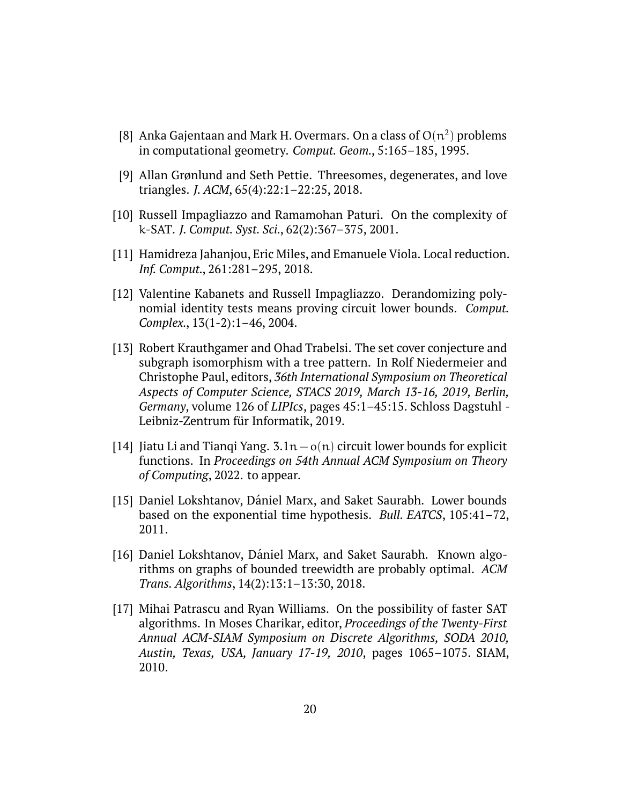- [8] Anka Gajentaan and Mark H. Overmars. On a class of  $O(n^2)$  problems in computational geometry. *Comput. Geom.*, 5:165–185, 1995.
- [9] Allan Grønlund and Seth Pettie. Threesomes, degenerates, and love triangles. *J. ACM*, 65(4):22:1–22:25, 2018.
- [10] Russell Impagliazzo and Ramamohan Paturi. On the complexity of k-SAT. *J. Comput. Syst. Sci.*, 62(2):367–375, 2001.
- [11] Hamidreza Jahanjou, Eric Miles, and Emanuele Viola. Local reduction. *Inf. Comput.*, 261:281–295, 2018.
- [12] Valentine Kabanets and Russell Impagliazzo. Derandomizing polynomial identity tests means proving circuit lower bounds. *Comput. Complex.*, 13(1-2):1–46, 2004.
- [13] Robert Krauthgamer and Ohad Trabelsi. The set cover conjecture and subgraph isomorphism with a tree pattern. In Rolf Niedermeier and Christophe Paul, editors, *36th International Symposium on Theoretical Aspects of Computer Science, STACS 2019, March 13-16, 2019, Berlin, Germany*, volume 126 of *LIPIcs*, pages 45:1–45:15. Schloss Dagstuhl - Leibniz-Zentrum für Informatik, 2019.
- <span id="page-19-0"></span>[14] Jiatu Li and Tianqi Yang. 3.1n−o(n) circuit lower bounds for explicit functions. In *Proceedings on 54th Annual ACM Symposium on Theory of Computing*, 2022. to appear.
- [15] Daniel Lokshtanov, Dániel Marx, and Saket Saurabh. Lower bounds based on the exponential time hypothesis. *Bull. EATCS*, 105:41–72, 2011.
- [16] Daniel Lokshtanov, Dániel Marx, and Saket Saurabh. Known algorithms on graphs of bounded treewidth are probably optimal. *ACM Trans. Algorithms*, 14(2):13:1–13:30, 2018.
- [17] Mihai Patrascu and Ryan Williams. On the possibility of faster SAT algorithms. In Moses Charikar, editor, *Proceedings of the Twenty-First Annual ACM-SIAM Symposium on Discrete Algorithms, SODA 2010, Austin, Texas, USA, January 17-19, 2010*, pages 1065–1075. SIAM, 2010.